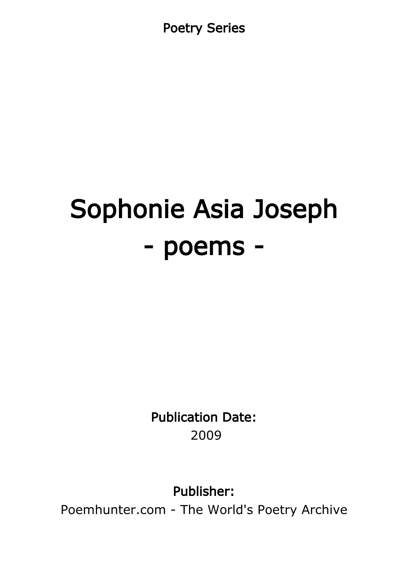Poetry Series

# Sophonie Asia Joseph - poems -

Publication Date: 2009

Publisher:

Poemhunter.com - The World's Poetry Archive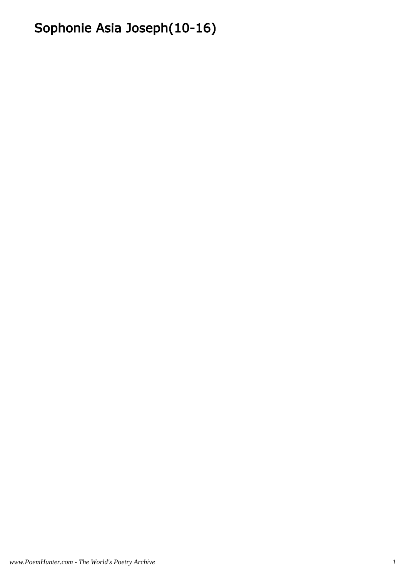# Sophonie Asia Joseph(10-16)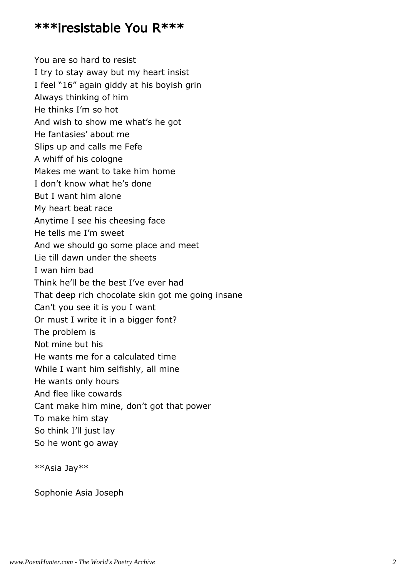#### \*\*\*iresistable You R\*\*\*

You are so hard to resist I try to stay away but my heart insist I feel "16" again giddy at his boyish grin Always thinking of him He thinks I'm so hot And wish to show me what's he got He fantasies' about me Slips up and calls me Fefe A whiff of his cologne Makes me want to take him home I don't know what he's done But I want him alone My heart beat race Anytime I see his cheesing face He tells me I'm sweet And we should go some place and meet Lie till dawn under the sheets I wan him bad Think he'll be the best I've ever had That deep rich chocolate skin got me going insane Can't you see it is you I want Or must I write it in a bigger font? The problem is Not mine but his He wants me for a calculated time While I want him selfishly, all mine He wants only hours And flee like cowards Cant make him mine, don't got that power To make him stay So think I'll just lay So he wont go away

\*\*Asia Jay\*\*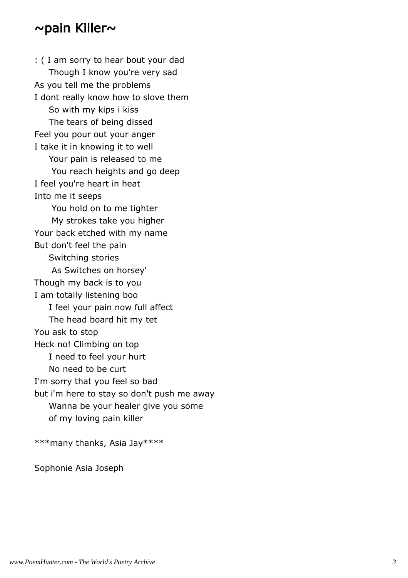#### ~pain Killer~

: ( I am sorry to hear bout your dad Though I know you're very sad As you tell me the problems I dont really know how to slove them So with my kips i kiss The tears of being dissed Feel you pour out your anger I take it in knowing it to well Your pain is released to me You reach heights and go deep I feel you're heart in heat Into me it seeps You hold on to me tighter My strokes take you higher Your back etched with my name But don't feel the pain Switching stories As Switches on horsey' Though my back is to you I am totally listening boo I feel your pain now full affect The head board hit my tet You ask to stop Heck no! Climbing on top I need to feel your hurt No need to be curt I'm sorry that you feel so bad but i'm here to stay so don't push me away Wanna be your healer give you some of my loving pain killer

\*\*\*many thanks, Asia Jay\*\*\*\*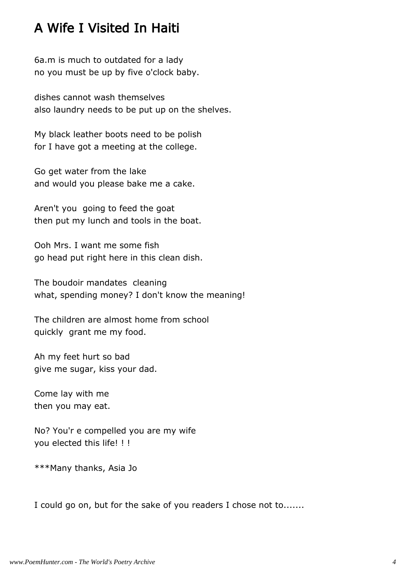## A Wife I Visited In Haiti

6a.m is much to outdated for a lady no you must be up by five o'clock baby.

dishes cannot wash themselves also laundry needs to be put up on the shelves.

My black leather boots need to be polish for I have got a meeting at the college.

Go get water from the lake and would you please bake me a cake.

Aren't you going to feed the goat then put my lunch and tools in the boat.

Ooh Mrs. I want me some fish go head put right here in this clean dish.

The boudoir mandates cleaning what, spending money? I don't know the meaning!

The children are almost home from school quickly grant me my food.

Ah my feet hurt so bad give me sugar, kiss your dad.

Come lay with me then you may eat.

No? You'r e compelled you are my wife you elected this life! ! !

\*\*\*Many thanks, Asia Jo

I could go on, but for the sake of you readers I chose not to.......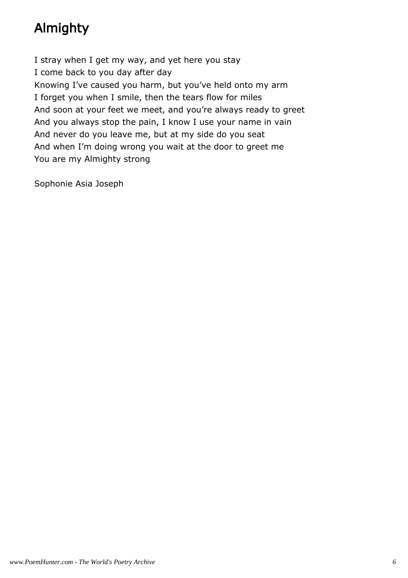## Almighty

I stray when I get my way, and yet here you stay I come back to you day after day Knowing I've caused you harm, but you've held onto my arm I forget you when I smile, then the tears flow for miles And soon at your feet we meet, and you're always ready to greet And you always stop the pain, I know I use your name in vain And never do you leave me, but at my side do you seat And when I'm doing wrong you wait at the door to greet me You are my Almighty strong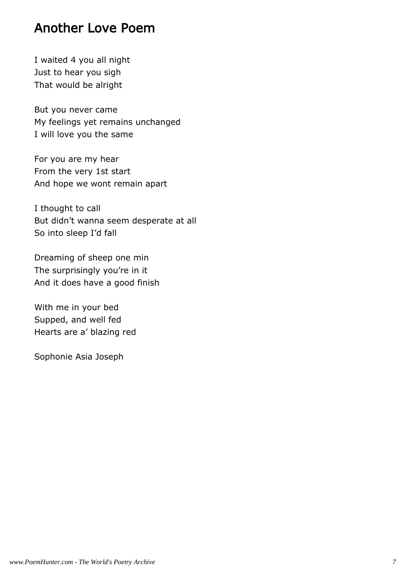## Another Love Poem

I waited 4 you all night Just to hear you sigh That would be alright

But you never came My feelings yet remains unchanged I will love you the same

For you are my hear From the very 1st start And hope we wont remain apart

I thought to call But didn't wanna seem desperate at all So into sleep I'd fall

Dreaming of sheep one min The surprisingly you're in it And it does have a good finish

With me in your bed Supped, and well fed Hearts are a' blazing red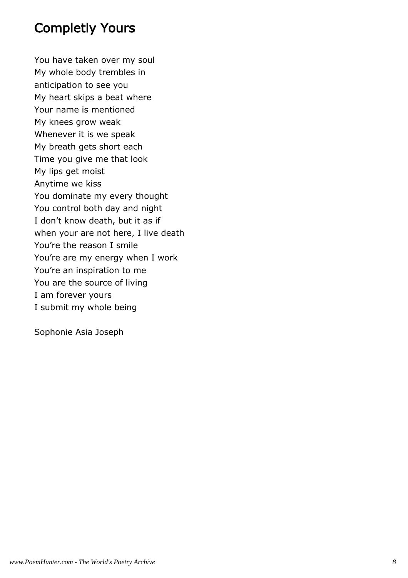## Completly Yours

You have taken over my soul My whole body trembles in anticipation to see you My heart skips a beat where Your name is mentioned My knees grow weak Whenever it is we speak My breath gets short each Time you give me that look My lips get moist Anytime we kiss You dominate my every thought You control both day and night I don't know death, but it as if when your are not here, I live death You're the reason I smile You're are my energy when I work You're an inspiration to me You are the source of living I am forever yours I submit my whole being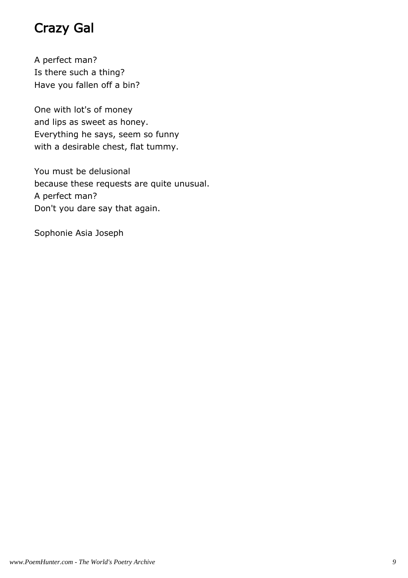## Crazy Gal

A perfect man? Is there such a thing? Have you fallen off a bin?

One with lot's of money and lips as sweet as honey. Everything he says, seem so funny with a desirable chest, flat tummy.

You must be delusional because these requests are quite unusual. A perfect man? Don't you dare say that again.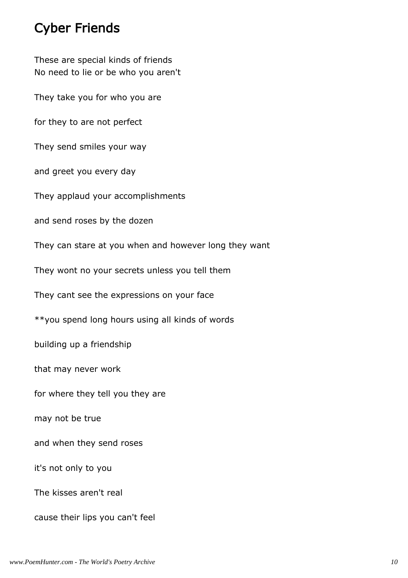## Cyber Friends

These are special kinds of friends No need to lie or be who you aren't They take you for who you are for they to are not perfect They send smiles your way and greet you every day They applaud your accomplishments and send roses by the dozen They can stare at you when and however long they want They wont no your secrets unless you tell them They cant see the expressions on your face \*\*you spend long hours using all kinds of words building up a friendship that may never work for where they tell you they are may not be true and when they send roses it's not only to you The kisses aren't real cause their lips you can't feel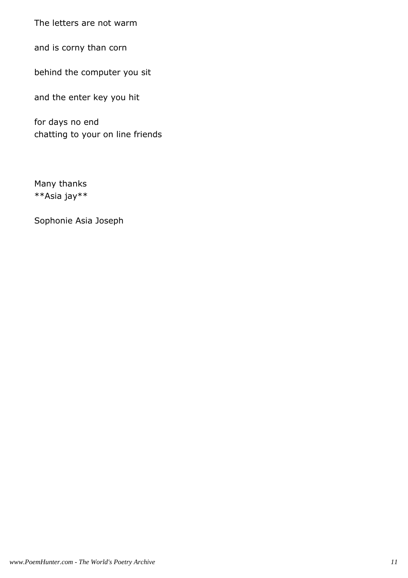The letters are not warm

and is corny than corn

behind the computer you sit

and the enter key you hit

for days no end chatting to your on line friends

Many thanks \*\*Asia jay\*\*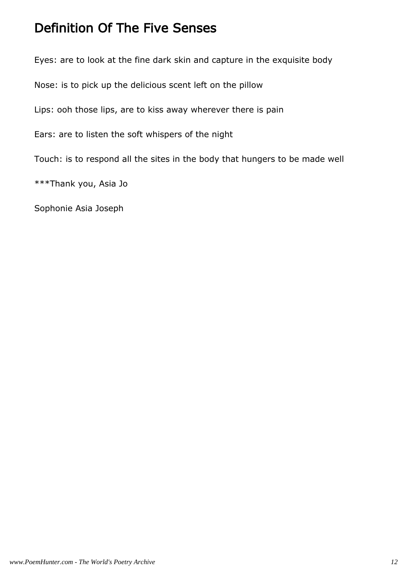## Definition Of The Five Senses

Eyes: are to look at the fine dark skin and capture in the exquisite body

Nose: is to pick up the delicious scent left on the pillow

Lips: ooh those lips, are to kiss away wherever there is pain

Ears: are to listen the soft whispers of the night

Touch: is to respond all the sites in the body that hungers to be made well

\*\*\*Thank you, Asia Jo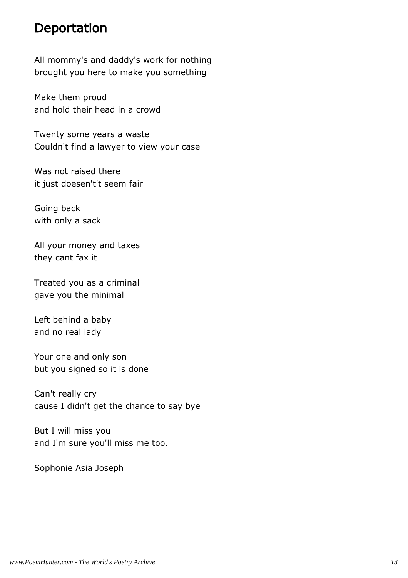#### Deportation

All mommy's and daddy's work for nothing brought you here to make you something

Make them proud and hold their head in a crowd

Twenty some years a waste Couldn't find a lawyer to view your case

Was not raised there it just doesen't't seem fair

Going back with only a sack

All your money and taxes they cant fax it

Treated you as a criminal gave you the minimal

Left behind a baby and no real lady

Your one and only son but you signed so it is done

Can't really cry cause I didn't get the chance to say bye

But I will miss you and I'm sure you'll miss me too.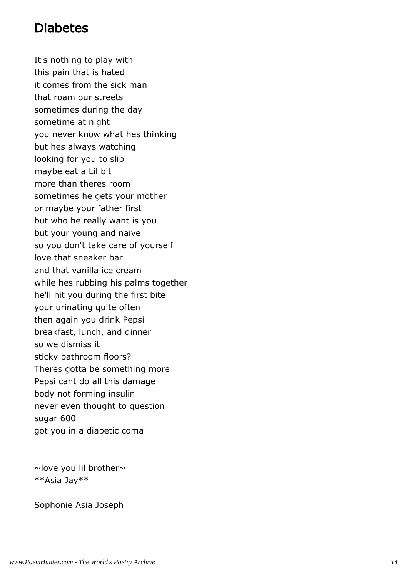## Diabetes

It's nothing to play with this pain that is hated it comes from the sick man that roam our streets sometimes during the day sometime at night you never know what hes thinking but hes always watching looking for you to slip maybe eat a Lil bit more than theres room sometimes he gets your mother or maybe your father first but who he really want is you but your young and naive so you don't take care of yourself love that sneaker bar and that vanilla ice cream while hes rubbing his palms together he'll hit you during the first bite your urinating quite often then again you drink Pepsi breakfast, lunch, and dinner so we dismiss it sticky bathroom floors? Theres gotta be something more Pepsi cant do all this damage body not forming insulin never even thought to question sugar 600 got you in a diabetic coma

 $\sim$ love you lil brother $\sim$ \*\*Asia Jay\*\*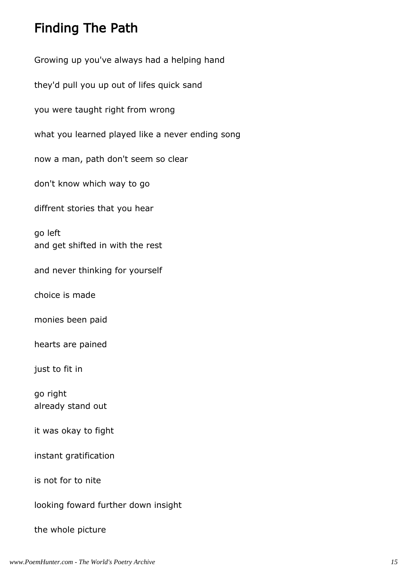## Finding The Path

Growing up you've always had a helping hand they'd pull you up out of lifes quick sand you were taught right from wrong what you learned played like a never ending song now a man, path don't seem so clear don't know which way to go diffrent stories that you hear go left and get shifted in with the rest and never thinking for yourself choice is made monies been paid hearts are pained just to fit in go right already stand out it was okay to fight instant gratification is not for to nite looking foward further down insight the whole picture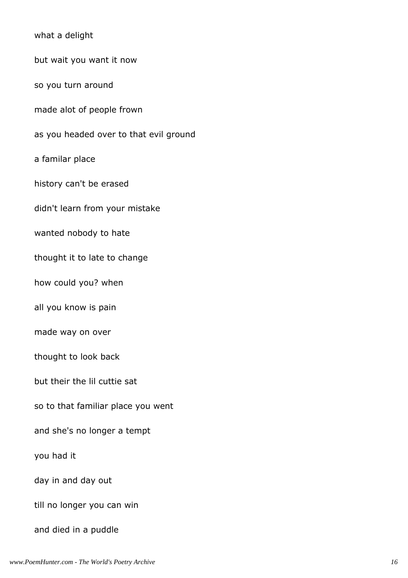what a delight but wait you want it now so you turn around made alot of people frown as you headed over to that evil ground a familar place history can't be erased didn't learn from your mistake wanted nobody to hate thought it to late to change how could you? when all you know is pain made way on over thought to look back but their the lil cuttie sat so to that familiar place you went and she's no longer a tempt you had it day in and day out till no longer you can win and died in a puddle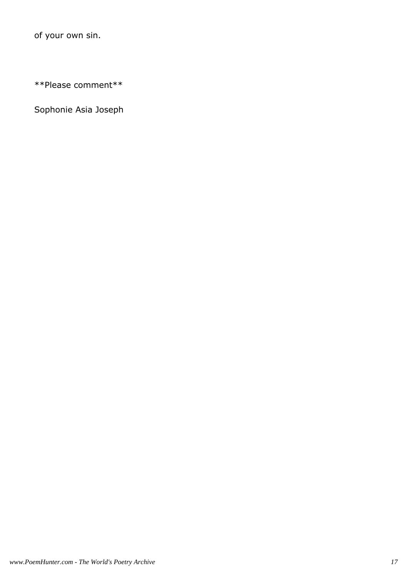of your own sin.

\*\*Please comment\*\*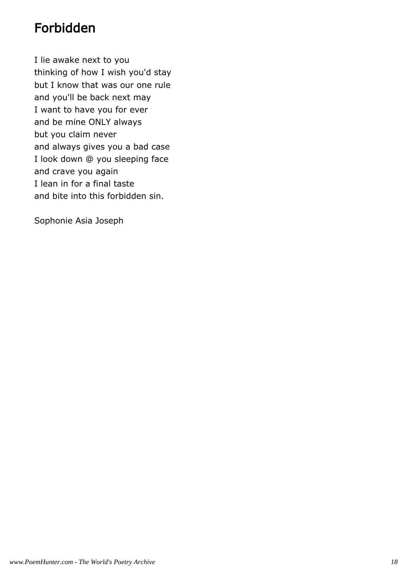## Forbidden

I lie awake next to you thinking of how I wish you'd stay but I know that was our one rule and you'll be back next may I want to have you for ever and be mine ONLY always but you claim never and always gives you a bad case I look down @ you sleeping face and crave you again I lean in for a final taste and bite into this forbidden sin.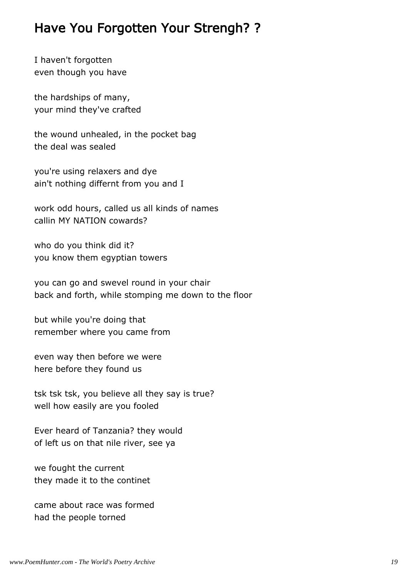## Have You Forgotten Your Strengh? ?

I haven't forgotten even though you have

the hardships of many, your mind they've crafted

the wound unhealed, in the pocket bag the deal was sealed

you're using relaxers and dye ain't nothing differnt from you and I

work odd hours, called us all kinds of names callin MY NATION cowards?

who do you think did it? you know them egyptian towers

you can go and swevel round in your chair back and forth, while stomping me down to the floor

but while you're doing that remember where you came from

even way then before we were here before they found us

tsk tsk tsk, you believe all they say is true? well how easily are you fooled

Ever heard of Tanzania? they would of left us on that nile river, see ya

we fought the current they made it to the continet

came about race was formed had the people torned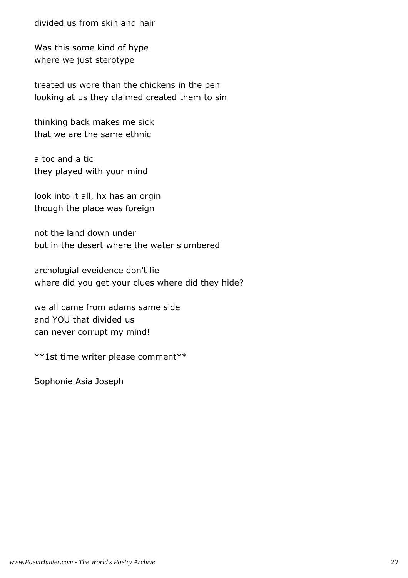divided us from skin and hair

Was this some kind of hype where we just sterotype

treated us wore than the chickens in the pen looking at us they claimed created them to sin

thinking back makes me sick that we are the same ethnic

a toc and a tic they played with your mind

look into it all, hx has an orgin though the place was foreign

not the land down under but in the desert where the water slumbered

archologial eveidence don't lie where did you get your clues where did they hide?

we all came from adams same side and YOU that divided us can never corrupt my mind!

\*\*1st time writer please comment\*\*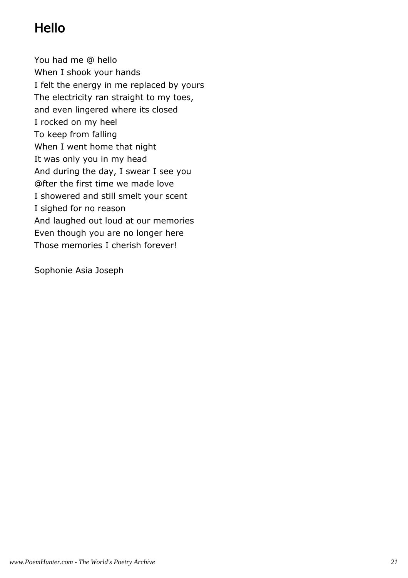## Hello

You had me @ hello When I shook your hands I felt the energy in me replaced by yours The electricity ran straight to my toes, and even lingered where its closed I rocked on my heel To keep from falling When I went home that night It was only you in my head And during the day, I swear I see you @fter the first time we made love I showered and still smelt your scent I sighed for no reason And laughed out loud at our memories Even though you are no longer here Those memories I cherish forever!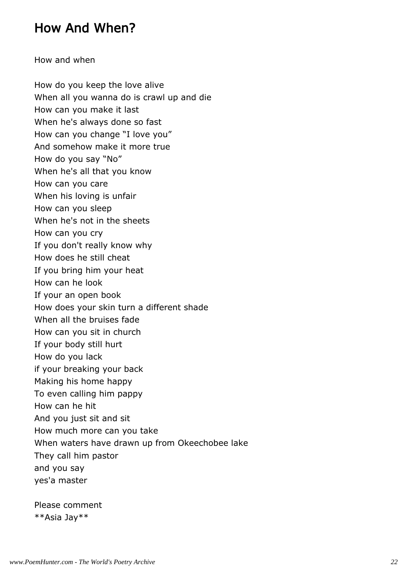## How And When?

How and when

How do you keep the love alive When all you wanna do is crawl up and die How can you make it last When he's always done so fast How can you change "I love you" And somehow make it more true How do you say "No" When he's all that you know How can you care When his loving is unfair How can you sleep When he's not in the sheets How can you cry If you don't really know why How does he still cheat If you bring him your heat How can he look If your an open book How does your skin turn a different shade When all the bruises fade How can you sit in church If your body still hurt How do you lack if your breaking your back Making his home happy To even calling him pappy How can he hit And you just sit and sit How much more can you take When waters have drawn up from Okeechobee lake They call him pastor and you say yes'a master

Please comment \*\*Asia Jay\*\*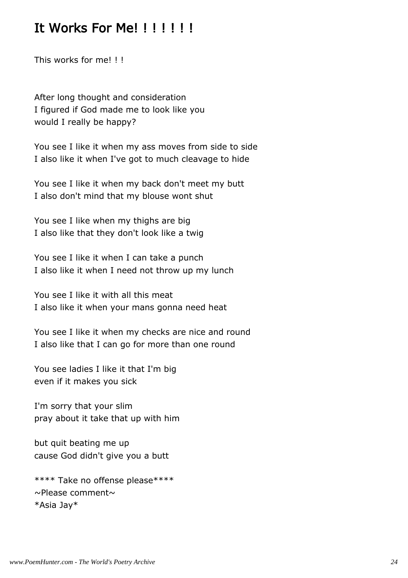#### It Works For Me!!!!!!!

This works for me! ! !

After long thought and consideration I figured if God made me to look like you would I really be happy?

You see I like it when my ass moves from side to side I also like it when I've got to much cleavage to hide

You see I like it when my back don't meet my butt I also don't mind that my blouse wont shut

You see I like when my thighs are big I also like that they don't look like a twig

You see I like it when I can take a punch I also like it when I need not throw up my lunch

You see I like it with all this meat I also like it when your mans gonna need heat

You see I like it when my checks are nice and round I also like that I can go for more than one round

You see ladies I like it that I'm big even if it makes you sick

I'm sorry that your slim pray about it take that up with him

but quit beating me up cause God didn't give you a butt

\*\*\*\* Take no offense please\*\*\*\*  $\sim$ Please comment $\sim$ \*Asia Jay\*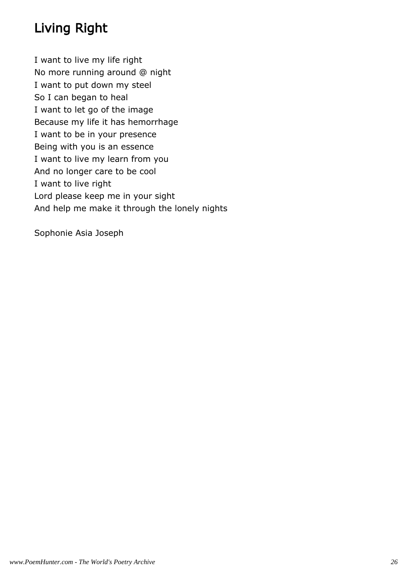## Living Right

I want to live my life right No more running around @ night I want to put down my steel So I can began to heal I want to let go of the image Because my life it has hemorrhage I want to be in your presence Being with you is an essence I want to live my learn from you And no longer care to be cool I want to live right Lord please keep me in your sight And help me make it through the lonely nights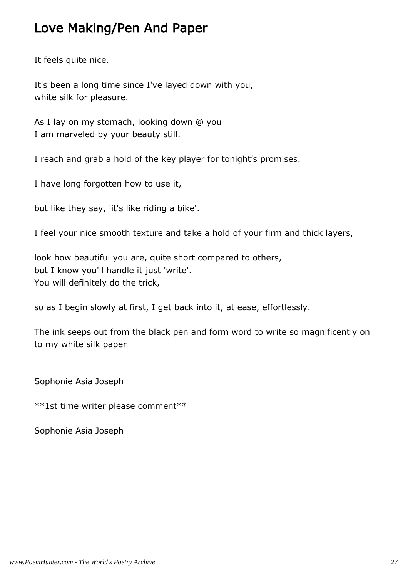## Love Making/Pen And Paper

It feels quite nice.

It's been a long time since I've layed down with you, white silk for pleasure.

As I lay on my stomach, looking down @ you I am marveled by your beauty still.

I reach and grab a hold of the key player for tonight's promises.

I have long forgotten how to use it,

but like they say, 'it's like riding a bike'.

I feel your nice smooth texture and take a hold of your firm and thick layers,

look how beautiful you are, quite short compared to others, but I know you'll handle it just 'write'. You will definitely do the trick,

so as I begin slowly at first, I get back into it, at ease, effortlessly.

The ink seeps out from the black pen and form word to write so magnificently on to my white silk paper

Sophonie Asia Joseph

\*\*1st time writer please comment\*\*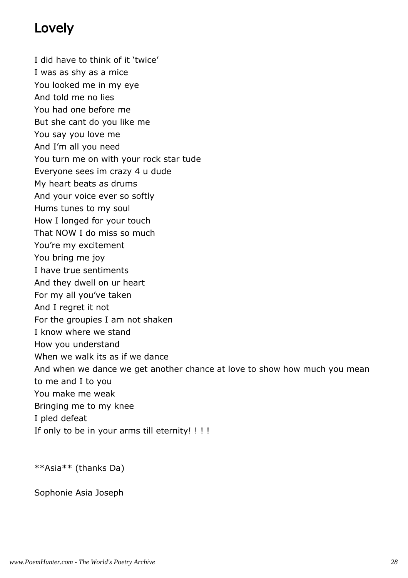## Lovely

I did have to think of it 'twice'

I was as shy as a mice

You looked me in my eye

And told me no lies

You had one before me

But she cant do you like me

You say you love me

And I'm all you need

You turn me on with your rock star tude

Everyone sees im crazy 4 u dude

My heart beats as drums

And your voice ever so softly

Hums tunes to my soul

How I longed for your touch

That NOW I do miss so much

You're my excitement

You bring me joy

I have true sentiments

And they dwell on ur heart

For my all you've taken

And I regret it not

For the groupies I am not shaken

I know where we stand

How you understand

When we walk its as if we dance

And when we dance we get another chance at love to show how much you mean

to me and I to you

You make me weak

Bringing me to my knee

I pled defeat

If only to be in your arms till eternity! ! ! !

\*\*Asia\*\* (thanks Da)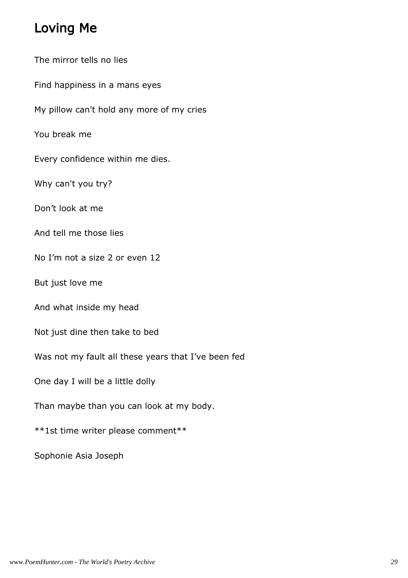## Loving Me

The mirror tells no lies

Find happiness in a mans eyes

My pillow can't hold any more of my cries

You break me

Every confidence within me dies.

Why can't you try?

Don't look at me

And tell me those lies

No I'm not a size 2 or even 12

But just love me

And what inside my head

Not just dine then take to bed

Was not my fault all these years that I've been fed

One day I will be a little dolly

Than maybe than you can look at my body.

\*\*1st time writer please comment\*\*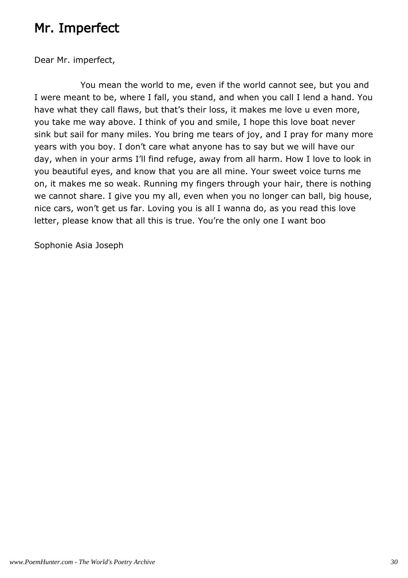## Mr. Imperfect

Dear Mr. imperfect,

 You mean the world to me, even if the world cannot see, but you and I were meant to be, where I fall, you stand, and when you call I lend a hand. You have what they call flaws, but that's their loss, it makes me love u even more, you take me way above. I think of you and smile, I hope this love boat never sink but sail for many miles. You bring me tears of joy, and I pray for many more years with you boy. I don't care what anyone has to say but we will have our day, when in your arms I'll find refuge, away from all harm. How I love to look in you beautiful eyes, and know that you are all mine. Your sweet voice turns me on, it makes me so weak. Running my fingers through your hair, there is nothing we cannot share. I give you my all, even when you no longer can ball, big house, nice cars, won't get us far. Loving you is all I wanna do, as you read this love letter, please know that all this is true. You're the only one I want boo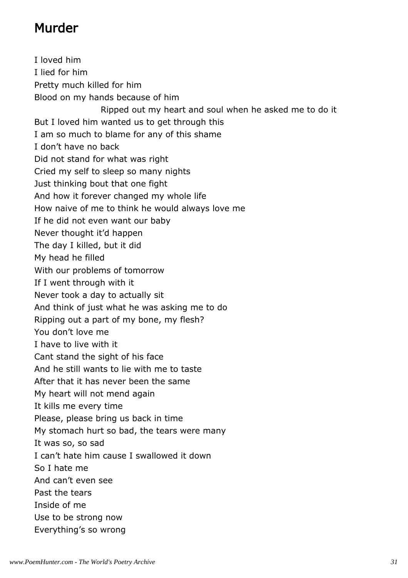## Murder

I loved him I lied for him Pretty much killed for him Blood on my hands because of him Ripped out my heart and soul when he asked me to do it But I loved him wanted us to get through this I am so much to blame for any of this shame I don't have no back Did not stand for what was right Cried my self to sleep so many nights Just thinking bout that one fight And how it forever changed my whole life How naive of me to think he would always love me If he did not even want our baby Never thought it'd happen The day I killed, but it did My head he filled With our problems of tomorrow If I went through with it Never took a day to actually sit And think of just what he was asking me to do Ripping out a part of my bone, my flesh? You don't love me I have to live with it Cant stand the sight of his face And he still wants to lie with me to taste After that it has never been the same My heart will not mend again It kills me every time Please, please bring us back in time My stomach hurt so bad, the tears were many It was so, so sad I can't hate him cause I swallowed it down So I hate me And can't even see Past the tears Inside of me Use to be strong now Everything's so wrong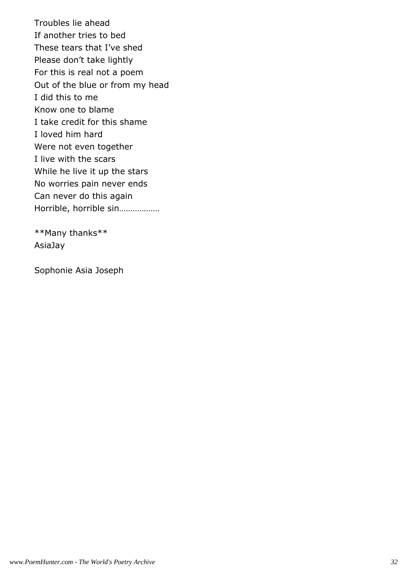Troubles lie ahead If another tries to bed These tears that I've shed Please don't take lightly For this is real not a poem Out of the blue or from my head I did this to me Know one to blame I take credit for this shame I loved him hard Were not even together I live with the scars While he live it up the stars No worries pain never ends Can never do this again Horrible, horrible sin………………

\*\*Many thanks\*\* AsiaJay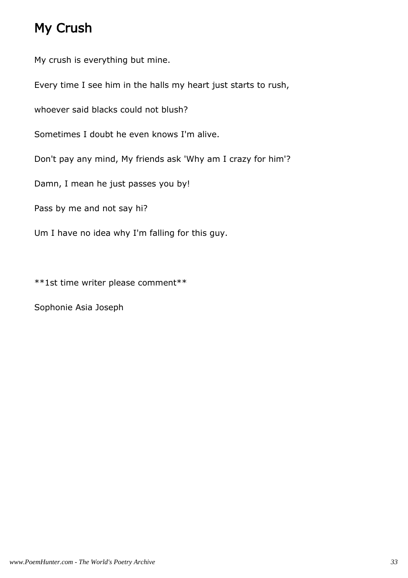## My Crush

My crush is everything but mine.

Every time I see him in the halls my heart just starts to rush,

whoever said blacks could not blush?

Sometimes I doubt he even knows I'm alive.

Don't pay any mind, My friends ask 'Why am I crazy for him'?

Damn, I mean he just passes you by!

Pass by me and not say hi?

Um I have no idea why I'm falling for this guy.

\*\*1st time writer please comment\*\*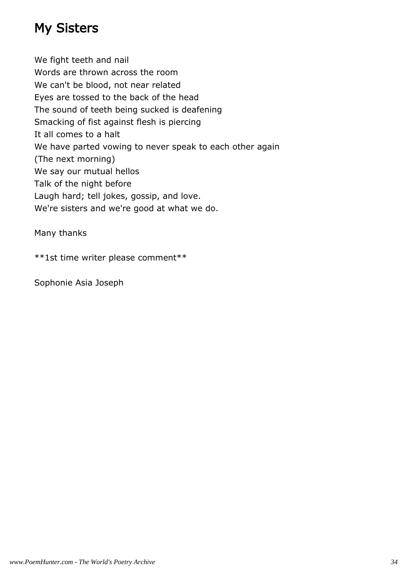## My Sisters

We fight teeth and nail Words are thrown across the room We can't be blood, not near related Eyes are tossed to the back of the head The sound of teeth being sucked is deafening Smacking of fist against flesh is piercing It all comes to a halt We have parted vowing to never speak to each other again (The next morning) We say our mutual hellos Talk of the night before Laugh hard; tell jokes, gossip, and love. We're sisters and we're good at what we do.

Many thanks

\*\*1st time writer please comment\*\*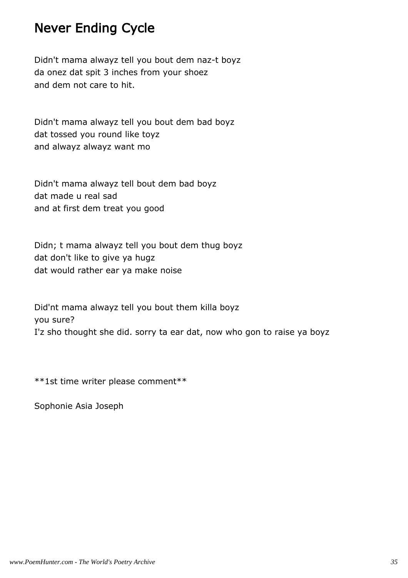## Never Ending Cycle

Didn't mama alwayz tell you bout dem naz-t boyz da onez dat spit 3 inches from your shoez and dem not care to hit.

Didn't mama alwayz tell you bout dem bad boyz dat tossed you round like toyz and alwayz alwayz want mo

Didn't mama alwayz tell bout dem bad boyz dat made u real sad and at first dem treat you good

Didn; t mama alwayz tell you bout dem thug boyz dat don't like to give ya hugz dat would rather ear ya make noise

Did'nt mama alwayz tell you bout them killa boyz you sure? I'z sho thought she did. sorry ta ear dat, now who gon to raise ya boyz

\*\*1st time writer please comment\*\*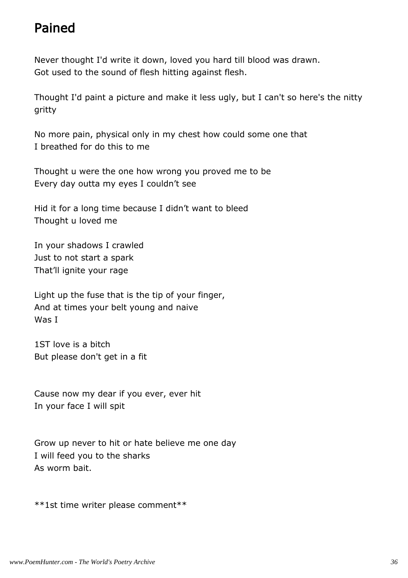## Pained

Never thought I'd write it down, loved you hard till blood was drawn. Got used to the sound of flesh hitting against flesh.

Thought I'd paint a picture and make it less ugly, but I can't so here's the nitty gritty

No more pain, physical only in my chest how could some one that I breathed for do this to me

Thought u were the one how wrong you proved me to be Every day outta my eyes I couldn't see

Hid it for a long time because I didn't want to bleed Thought u loved me

In your shadows I crawled Just to not start a spark That'll ignite your rage

Light up the fuse that is the tip of your finger, And at times your belt young and naive Was I

1ST love is a bitch But please don't get in a fit

Cause now my dear if you ever, ever hit In your face I will spit

Grow up never to hit or hate believe me one day I will feed you to the sharks As worm bait.

\*\*1st time writer please comment\*\*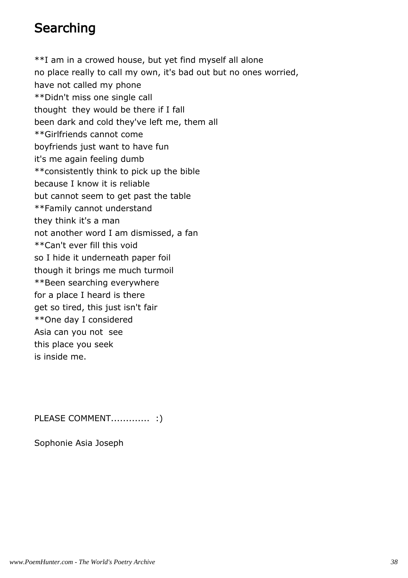## **Searching**

\*\*I am in a crowed house, but yet find myself all alone no place really to call my own, it's bad out but no ones worried, have not called my phone \*\*Didn't miss one single call thought they would be there if I fall been dark and cold they've left me, them all \*\*Girlfriends cannot come boyfriends just want to have fun it's me again feeling dumb \*\*consistently think to pick up the bible because I know it is reliable but cannot seem to get past the table \*\*Family cannot understand they think it's a man not another word I am dismissed, a fan \*\*Can't ever fill this void so I hide it underneath paper foil though it brings me much turmoil \*\*Been searching everywhere for a place I heard is there get so tired, this just isn't fair \*\*One day I considered Asia can you not see this place you seek is inside me.

PLEASE COMMENT............... :)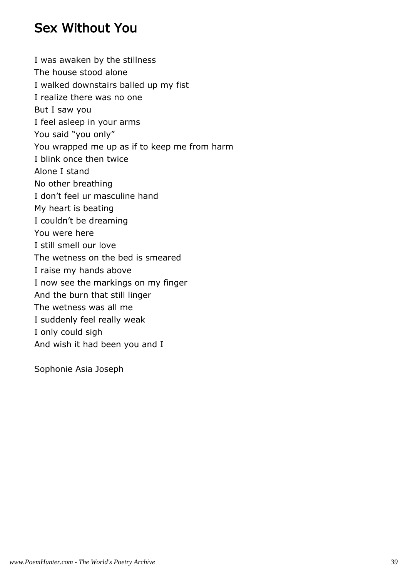## Sex Without You

I was awaken by the stillness The house stood alone I walked downstairs balled up my fist I realize there was no one But I saw you I feel asleep in your arms You said "you only" You wrapped me up as if to keep me from harm I blink once then twice Alone I stand No other breathing I don't feel ur masculine hand My heart is beating I couldn't be dreaming You were here I still smell our love The wetness on the bed is smeared I raise my hands above I now see the markings on my finger And the burn that still linger The wetness was all me I suddenly feel really weak I only could sigh And wish it had been you and I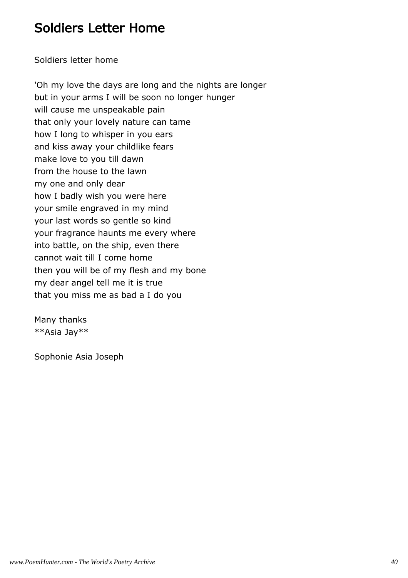## Soldiers Letter Home

Soldiers letter home

'Oh my love the days are long and the nights are longer but in your arms I will be soon no longer hunger will cause me unspeakable pain that only your lovely nature can tame how I long to whisper in you ears and kiss away your childlike fears make love to you till dawn from the house to the lawn my one and only dear how I badly wish you were here your smile engraved in my mind your last words so gentle so kind your fragrance haunts me every where into battle, on the ship, even there cannot wait till I come home then you will be of my flesh and my bone my dear angel tell me it is true that you miss me as bad a I do you

Many thanks \*\*Asia Jay\*\*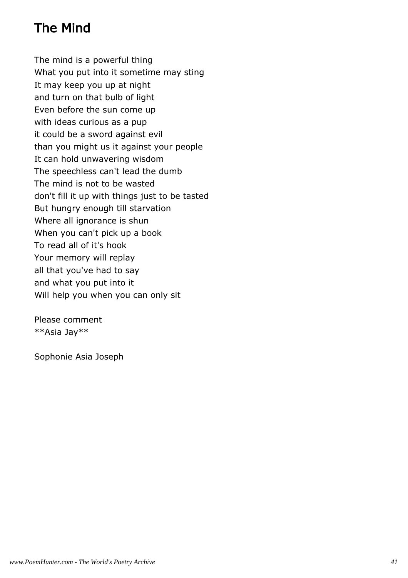## The Mind

The mind is a powerful thing What you put into it sometime may sting It may keep you up at night and turn on that bulb of light Even before the sun come up with ideas curious as a pup it could be a sword against evil than you might us it against your people It can hold unwavering wisdom The speechless can't lead the dumb The mind is not to be wasted don't fill it up with things just to be tasted But hungry enough till starvation Where all ignorance is shun When you can't pick up a book To read all of it's hook Your memory will replay all that you've had to say and what you put into it Will help you when you can only sit

Please comment \*\*Asia Jay\*\*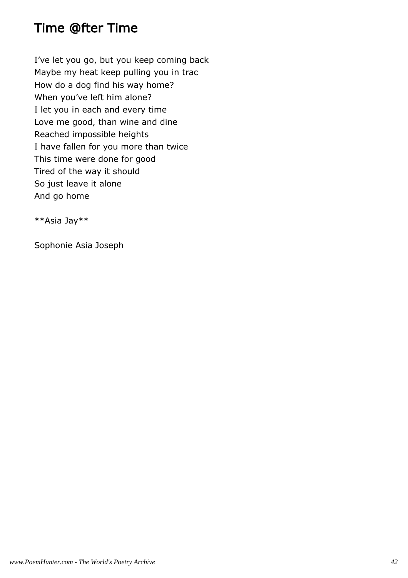## Time @fter Time

I've let you go, but you keep coming back Maybe my heat keep pulling you in trac How do a dog find his way home? When you've left him alone? I let you in each and every time Love me good, than wine and dine Reached impossible heights I have fallen for you more than twice This time were done for good Tired of the way it should So just leave it alone And go home

\*\*Asia Jay\*\*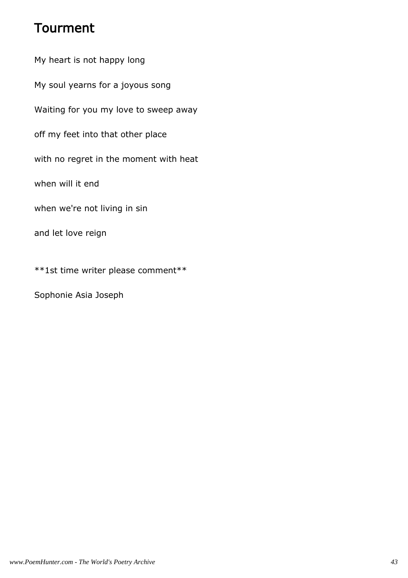## Tourment

My heart is not happy long My soul yearns for a joyous song Waiting for you my love to sweep away off my feet into that other place with no regret in the moment with heat when will it end when we're not living in sin and let love reign \*\*1st time writer please comment\*\*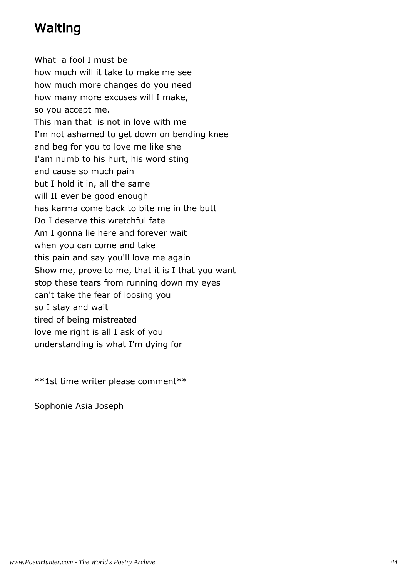## Waiting

What a fool I must be how much will it take to make me see how much more changes do you need how many more excuses will I make, so you accept me. This man that is not in love with me I'm not ashamed to get down on bending knee and beg for you to love me like she I'am numb to his hurt, his word sting and cause so much pain but I hold it in, all the same will II ever be good enough has karma come back to bite me in the butt Do I deserve this wretchful fate Am I gonna lie here and forever wait when you can come and take this pain and say you'll love me again Show me, prove to me, that it is I that you want stop these tears from running down my eyes can't take the fear of loosing you so I stay and wait tired of being mistreated love me right is all I ask of you understanding is what I'm dying for

\*\*1st time writer please comment\*\*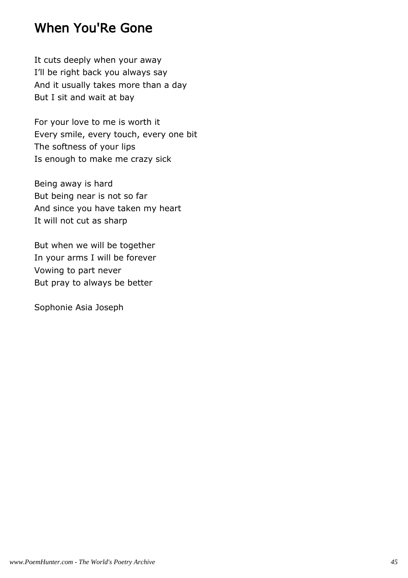## When You'Re Gone

It cuts deeply when your away I'll be right back you always say And it usually takes more than a day But I sit and wait at bay

For your love to me is worth it Every smile, every touch, every one bit The softness of your lips Is enough to make me crazy sick

Being away is hard But being near is not so far And since you have taken my heart It will not cut as sharp

But when we will be together In your arms I will be forever Vowing to part never But pray to always be better